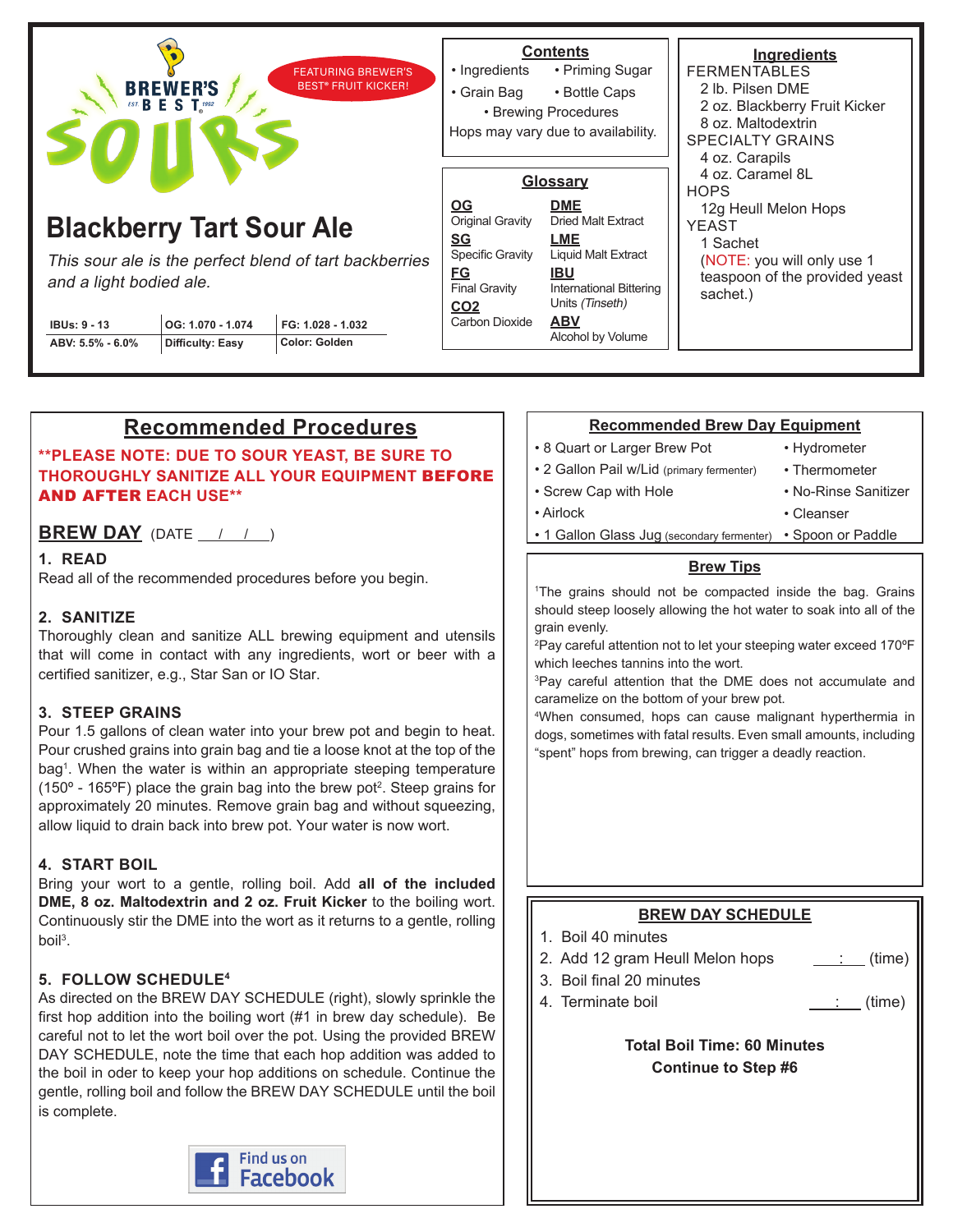| <b>FEATURING BREWER'S</b><br><b>BREWER'S</b><br><b>BEST® FRUIT KICKER!</b>                                                                                                                                                                            |  |  | • Ingredients<br>• Grain Bag                                                                                                                           | <b>Contents</b><br>• Priming Sugar<br>• Bottle Caps<br>• Brewing Procedures<br>Hops may vary due to availability.                                                                       | Ingredients<br><b>FERMENTABLES</b><br>2 lb. Pilsen DME<br>2 oz. Blackberry Fruit Kicker<br>8 oz. Maltodextrin<br><b>SPECIALTY GRAINS</b><br>4 oz. Carapils<br>4 oz. Caramel 8L<br><b>HOPS</b><br>12g Heull Melon Hops<br><b>YEAST</b><br>1 Sachet<br>(NOTE: you will only use 1)<br>teaspoon of the provided yeast<br>sachet.) |
|-------------------------------------------------------------------------------------------------------------------------------------------------------------------------------------------------------------------------------------------------------|--|--|--------------------------------------------------------------------------------------------------------------------------------------------------------|-----------------------------------------------------------------------------------------------------------------------------------------------------------------------------------------|--------------------------------------------------------------------------------------------------------------------------------------------------------------------------------------------------------------------------------------------------------------------------------------------------------------------------------|
| <b>Blackberry Tart Sour Ale</b><br>This sour ale is the perfect blend of tart backberries<br>and a light bodied ale.<br>FG: 1.028 - 1.032<br>OG: 1.070 - 1.074<br><b>IBUs: 9 - 13</b><br>Color: Golden<br>ABV: 5.5% - 6.0%<br><b>Difficulty: Easy</b> |  |  | $\underline{OG}$<br>Original Gravity<br><u>SG</u><br><b>Specific Gravity</b><br><b>FG</b><br><b>Final Gravity</b><br>CO <sub>2</sub><br>Carbon Dioxide | Glossary<br><b>DME</b><br><b>Dried Malt Extract</b><br>LME<br><b>Liquid Malt Extract</b><br><b>IBU</b><br>International Bittering<br>Units (Tinseth)<br><b>ABV</b><br>Alcohol by Volume |                                                                                                                                                                                                                                                                                                                                |

# **Recommended Procedures**

**\*\*PLEASE NOTE: DUE TO SOUR YEAST, BE SURE TO THOROUGHLY SANITIZE ALL YOUR EQUIPMENT** BEFORE AND AFTER **EACH USE\*\***

**BREW DAY** (DATE  $\frac{1}{2}$  /  $\frac{1}{2}$ )

### **1. READ**

Read all of the recommended procedures before you begin.

# **2. SANITIZE**

Thoroughly clean and sanitize ALL brewing equipment and utensils that will come in contact with any ingredients, wort or beer with a certified sanitizer, e.g., Star San or IO Star.

#### **3. STEEP GRAINS**

Pour 1.5 gallons of clean water into your brew pot and begin to heat. Pour crushed grains into grain bag and tie a loose knot at the top of the bag<sup>1</sup>. When the water is within an appropriate steeping temperature (150° - 165°F) place the grain bag into the brew pot<sup>2</sup>. Steep grains for approximately 20 minutes. Remove grain bag and without squeezing, allow liquid to drain back into brew pot. Your water is now wort.

# **4. START BOIL**

Bring your wort to a gentle, rolling boil. Add **all of the included DME, 8 oz. Maltodextrin and 2 oz. Fruit Kicker** to the boiling wort. Continuously stir the DME into the wort as it returns to a gentle, rolling boil<sup>3</sup>.

# **5. FOLLOW SCHEDULE4**

As directed on the BREW DAY SCHEDULE (right), slowly sprinkle the first hop addition into the boiling wort (#1 in brew day schedule). Be careful not to let the wort boil over the pot. Using the provided BREW DAY SCHEDULE, note the time that each hop addition was added to the boil in oder to keep your hop additions on schedule. Continue the gentle, rolling boil and follow the BREW DAY SCHEDULE until the boil is complete.



#### **Recommended Brew Day Equipment**

• 8 Quart or Larger Brew Pot

• Screw Cap with Hole

• Hydrometer

• Cleanser

- 2 Gallon Pail w/Lid (primary fermenter)
- Thermometer
- No-Rinse Sanitizer

- Airlock
	- 1 Gallon Glass Jug (secondary fermenter) Spoon or Paddle

#### **Brew Tips**

1 The grains should not be compacted inside the bag. Grains should steep loosely allowing the hot water to soak into all of the grain evenly.

2 Pay careful attention not to let your steeping water exceed 170ºF which leeches tannins into the wort.

3 Pay careful attention that the DME does not accumulate and caramelize on the bottom of your brew pot.

4 When consumed, hops can cause malignant hyperthermia in dogs, sometimes with fatal results. Even small amounts, including "spent" hops from brewing, can trigger a deadly reaction.

# **BREW DAY SCHEDULE**

- 1. Boil 40 minutes
- 2. Add 12 gram Heull Melon hops  $\quad \underline{\hspace{1cm}}$  (time)
- 3. Boil final 20 minutes
	- 4. Terminate boil  $\qquad \qquad \qquad$  : (time)

# **Total Boil Time: 60 Minutes Continue to Step #6**